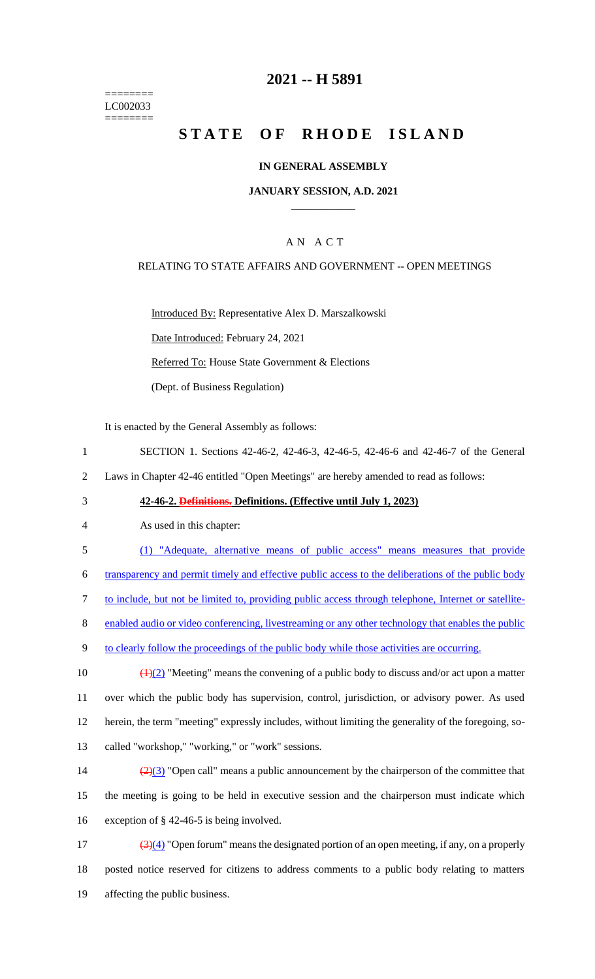======== LC002033 ========

## **2021 -- H 5891**

# **STATE OF RHODE ISLAND**

### **IN GENERAL ASSEMBLY**

### **JANUARY SESSION, A.D. 2021 \_\_\_\_\_\_\_\_\_\_\_\_**

### A N A C T

### RELATING TO STATE AFFAIRS AND GOVERNMENT -- OPEN MEETINGS

Introduced By: Representative Alex D. Marszalkowski

Date Introduced: February 24, 2021

Referred To: House State Government & Elections

(Dept. of Business Regulation)

It is enacted by the General Assembly as follows:

- 1 SECTION 1. Sections 42-46-2, 42-46-3, 42-46-5, 42-46-6 and 42-46-7 of the General
- 2 Laws in Chapter 42-46 entitled "Open Meetings" are hereby amended to read as follows:

### 3 **42-46-2. Definitions. Definitions. (Effective until July 1, 2023)**

- 4 As used in this chapter:
- 5 (1) "Adequate, alternative means of public access" means measures that provide

6 transparency and permit timely and effective public access to the deliberations of the public body

7 to include, but not be limited to, providing public access through telephone, Internet or satellite-

8 enabled audio or video conferencing, livestreaming or any other technology that enables the public

9 to clearly follow the proceedings of the public body while those activities are occurring.

 $\left(\frac{1}{2}\right)$  "Meeting" means the convening of a public body to discuss and/or act upon a matter over which the public body has supervision, control, jurisdiction, or advisory power. As used herein, the term "meeting" expressly includes, without limiting the generality of the foregoing, so-called "workshop," "working," or "work" sessions.

14  $\left(\frac{2}{3}\right)$  "Open call" means a public announcement by the chairperson of the committee that 15 the meeting is going to be held in executive session and the chairperson must indicate which 16 exception of § 42-46-5 is being involved.

17  $\left(\frac{3(4)}{2}\right)$  "Open forum" means the designated portion of an open meeting, if any, on a properly 18 posted notice reserved for citizens to address comments to a public body relating to matters 19 affecting the public business.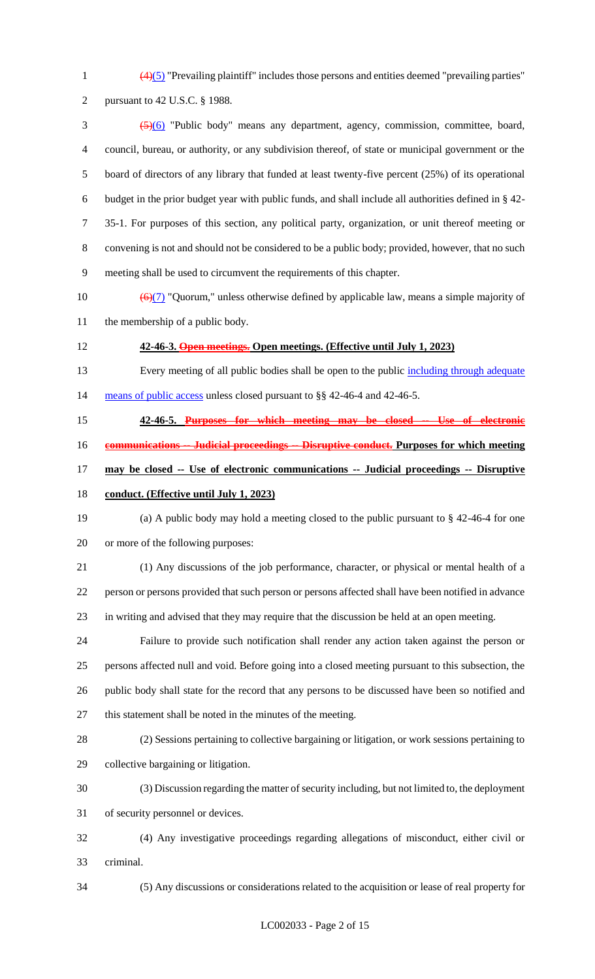$\frac{(4)(5)}{2}$  "Prevailing plaintiff" includes those persons and entities deemed "prevailing parties"

```
2 pursuant to 42 U.S.C. § 1988.
```
 (5)(6) "Public body" means any department, agency, commission, committee, board, council, bureau, or authority, or any subdivision thereof, of state or municipal government or the board of directors of any library that funded at least twenty-five percent (25%) of its operational budget in the prior budget year with public funds, and shall include all authorities defined in § 42- 35-1. For purposes of this section, any political party, organization, or unit thereof meeting or convening is not and should not be considered to be a public body; provided, however, that no such meeting shall be used to circumvent the requirements of this chapter.

- 10  $\left(\frac{\Theta(7)}{2}\right)$  "Quorum," unless otherwise defined by applicable law, means a simple majority of the membership of a public body.
- **42-46-3. Open meetings. Open meetings. (Effective until July 1, 2023)**
- 13 Every meeting of all public bodies shall be open to the public including through adequate 14 means of public access unless closed pursuant to §§ 42-46-4 and 42-46-5.
- 
- **42-46-5. Purposes for which meeting may be closed -- Use of electronic**
- **communications -- Judicial proceedings -- Disruptive conduct. Purposes for which meeting**
- **may be closed -- Use of electronic communications -- Judicial proceedings -- Disruptive**
- **conduct. (Effective until July 1, 2023)**
- (a) A public body may hold a meeting closed to the public pursuant to § 42-46-4 for one or more of the following purposes:
- (1) Any discussions of the job performance, character, or physical or mental health of a person or persons provided that such person or persons affected shall have been notified in advance in writing and advised that they may require that the discussion be held at an open meeting.
- Failure to provide such notification shall render any action taken against the person or persons affected null and void. Before going into a closed meeting pursuant to this subsection, the public body shall state for the record that any persons to be discussed have been so notified and this statement shall be noted in the minutes of the meeting.
- (2) Sessions pertaining to collective bargaining or litigation, or work sessions pertaining to
- collective bargaining or litigation.
- (3) Discussion regarding the matter of security including, but not limited to, the deployment of security personnel or devices.
- (4) Any investigative proceedings regarding allegations of misconduct, either civil or criminal.
- 

(5) Any discussions or considerations related to the acquisition or lease of real property for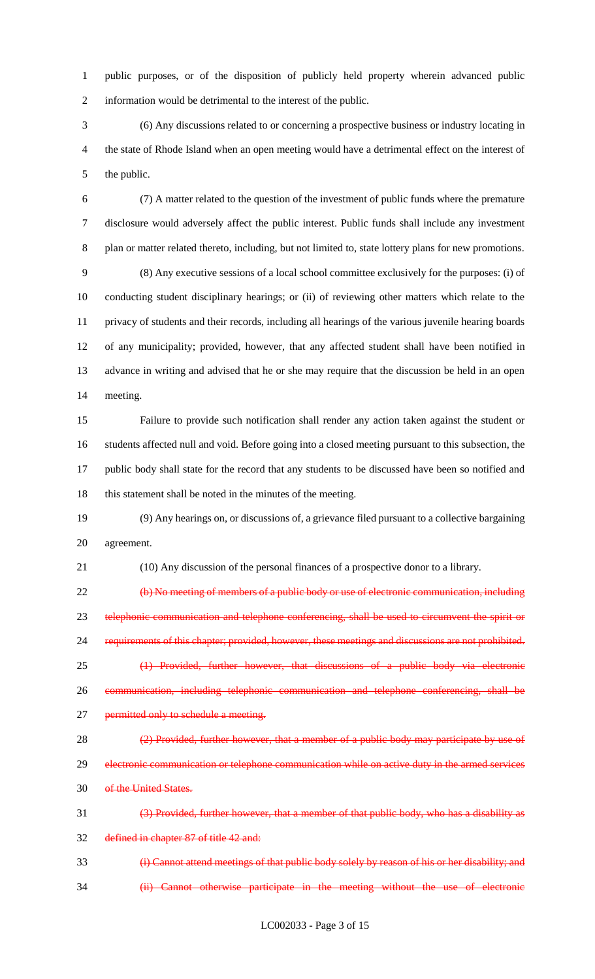public purposes, or of the disposition of publicly held property wherein advanced public information would be detrimental to the interest of the public.

 (6) Any discussions related to or concerning a prospective business or industry locating in the state of Rhode Island when an open meeting would have a detrimental effect on the interest of the public.

 (7) A matter related to the question of the investment of public funds where the premature disclosure would adversely affect the public interest. Public funds shall include any investment plan or matter related thereto, including, but not limited to, state lottery plans for new promotions. (8) Any executive sessions of a local school committee exclusively for the purposes: (i) of conducting student disciplinary hearings; or (ii) of reviewing other matters which relate to the privacy of students and their records, including all hearings of the various juvenile hearing boards of any municipality; provided, however, that any affected student shall have been notified in advance in writing and advised that he or she may require that the discussion be held in an open meeting.

 Failure to provide such notification shall render any action taken against the student or students affected null and void. Before going into a closed meeting pursuant to this subsection, the public body shall state for the record that any students to be discussed have been so notified and 18 this statement shall be noted in the minutes of the meeting.

 (9) Any hearings on, or discussions of, a grievance filed pursuant to a collective bargaining agreement.

(10) Any discussion of the personal finances of a prospective donor to a library.

 (b) No meeting of members of a public body or use of electronic communication, including 23 telephonic communication and telephone conferencing, shall be used to circumvent the spirit or requirements of this chapter; provided, however, these meetings and discussions are not prohibited. (1) Provided, further however, that discussions of a public body via electronic communication, including telephonic communication and telephone conferencing, shall be 27 permitted only to schedule a meeting.

28 (2) Provided, further however, that a member of a public body may participate by use of 29 electronic communication or telephone communication while on active duty in the armed services of the United States.

 (3) Provided, further however, that a member of that public body, who has a disability as defined in chapter 87 of title 42 and:

 (i) Cannot attend meetings of that public body solely by reason of his or her disability; and (ii) Cannot otherwise participate in the meeting without the use of electronic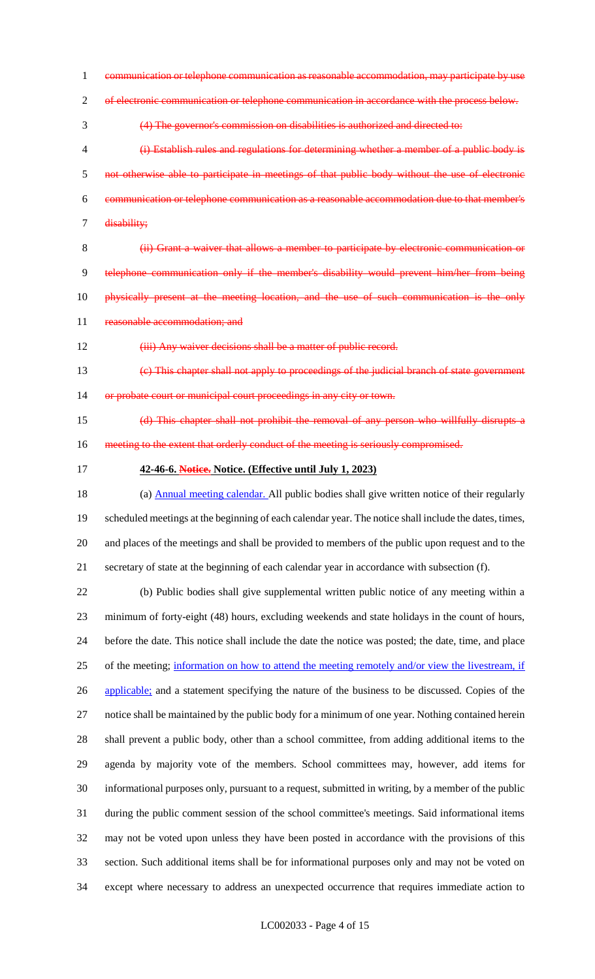communication or telephone communication as reasonable accommodation, may participate by use of electronic communication or telephone communication in accordance with the process below. (4) The governor's commission on disabilities is authorized and directed to: (i) Establish rules and regulations for determining whether a member of a public body is not otherwise able to participate in meetings of that public body without the use of electronic communication or telephone communication as a reasonable accommodation due to that member's disability; (ii) Grant a waiver that allows a member to participate by electronic communication or telephone communication only if the member's disability would prevent him/her from being 10 physically present at the meeting location, and the use of such communication is the only 11 reasonable accommodation; and 12 (iii) Any waiver decisions shall be a matter of public record. (c) This chapter shall not apply to proceedings of the judicial branch of state government 14 or probate court or municipal court proceedings in any city or town. (d) This chapter shall not prohibit the removal of any person who willfully disrupts a 16 meeting to the extent that orderly conduct of the meeting is seriously compromised.

**42-46-6. Notice. Notice. (Effective until July 1, 2023)**

18 (a) Annual meeting calendar. All public bodies shall give written notice of their regularly scheduled meetings at the beginning of each calendar year. The notice shall include the dates, times, and places of the meetings and shall be provided to members of the public upon request and to the secretary of state at the beginning of each calendar year in accordance with subsection (f).

 (b) Public bodies shall give supplemental written public notice of any meeting within a minimum of forty-eight (48) hours, excluding weekends and state holidays in the count of hours, before the date. This notice shall include the date the notice was posted; the date, time, and place of the meeting; information on how to attend the meeting remotely and/or view the livestream, if 26 applicable; and a statement specifying the nature of the business to be discussed. Copies of the notice shall be maintained by the public body for a minimum of one year. Nothing contained herein shall prevent a public body, other than a school committee, from adding additional items to the agenda by majority vote of the members. School committees may, however, add items for informational purposes only, pursuant to a request, submitted in writing, by a member of the public during the public comment session of the school committee's meetings. Said informational items may not be voted upon unless they have been posted in accordance with the provisions of this section. Such additional items shall be for informational purposes only and may not be voted on except where necessary to address an unexpected occurrence that requires immediate action to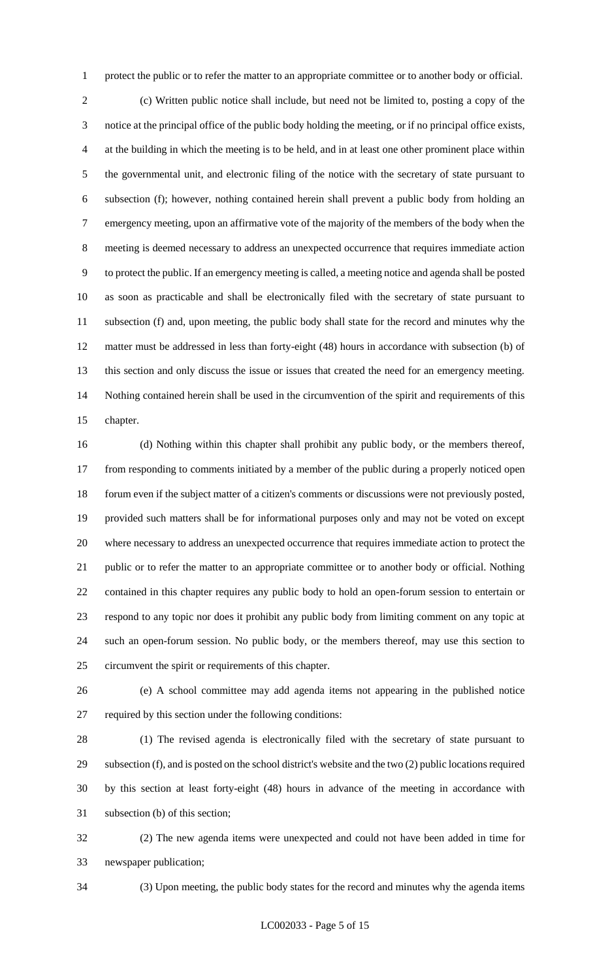protect the public or to refer the matter to an appropriate committee or to another body or official.

 (c) Written public notice shall include, but need not be limited to, posting a copy of the notice at the principal office of the public body holding the meeting, or if no principal office exists, at the building in which the meeting is to be held, and in at least one other prominent place within the governmental unit, and electronic filing of the notice with the secretary of state pursuant to subsection (f); however, nothing contained herein shall prevent a public body from holding an emergency meeting, upon an affirmative vote of the majority of the members of the body when the meeting is deemed necessary to address an unexpected occurrence that requires immediate action to protect the public. If an emergency meeting is called, a meeting notice and agenda shall be posted as soon as practicable and shall be electronically filed with the secretary of state pursuant to subsection (f) and, upon meeting, the public body shall state for the record and minutes why the matter must be addressed in less than forty-eight (48) hours in accordance with subsection (b) of this section and only discuss the issue or issues that created the need for an emergency meeting. Nothing contained herein shall be used in the circumvention of the spirit and requirements of this chapter.

 (d) Nothing within this chapter shall prohibit any public body, or the members thereof, from responding to comments initiated by a member of the public during a properly noticed open forum even if the subject matter of a citizen's comments or discussions were not previously posted, provided such matters shall be for informational purposes only and may not be voted on except where necessary to address an unexpected occurrence that requires immediate action to protect the public or to refer the matter to an appropriate committee or to another body or official. Nothing contained in this chapter requires any public body to hold an open-forum session to entertain or respond to any topic nor does it prohibit any public body from limiting comment on any topic at such an open-forum session. No public body, or the members thereof, may use this section to circumvent the spirit or requirements of this chapter.

 (e) A school committee may add agenda items not appearing in the published notice required by this section under the following conditions:

 (1) The revised agenda is electronically filed with the secretary of state pursuant to subsection (f), and is posted on the school district's website and the two (2) public locations required by this section at least forty-eight (48) hours in advance of the meeting in accordance with subsection (b) of this section;

 (2) The new agenda items were unexpected and could not have been added in time for newspaper publication;

(3) Upon meeting, the public body states for the record and minutes why the agenda items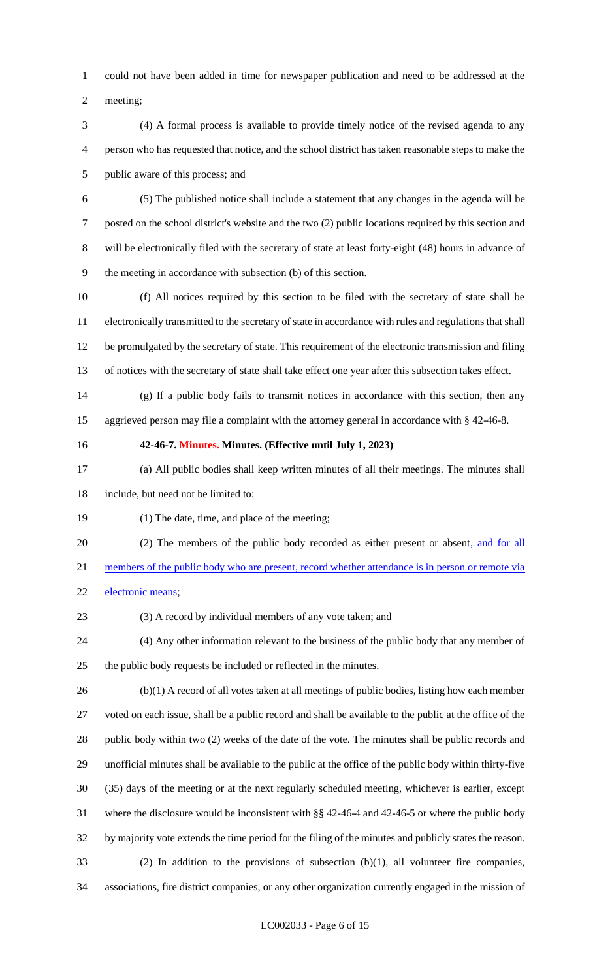could not have been added in time for newspaper publication and need to be addressed at the

meeting;

- (4) A formal process is available to provide timely notice of the revised agenda to any person who has requested that notice, and the school district has taken reasonable steps to make the public aware of this process; and
- 

 (5) The published notice shall include a statement that any changes in the agenda will be posted on the school district's website and the two (2) public locations required by this section and will be electronically filed with the secretary of state at least forty-eight (48) hours in advance of the meeting in accordance with subsection (b) of this section.

 (f) All notices required by this section to be filed with the secretary of state shall be electronically transmitted to the secretary of state in accordance with rules and regulations that shall be promulgated by the secretary of state. This requirement of the electronic transmission and filing of notices with the secretary of state shall take effect one year after this subsection takes effect.

- (g) If a public body fails to transmit notices in accordance with this section, then any aggrieved person may file a complaint with the attorney general in accordance with § 42-46-8.
- 

### **42-46-7. Minutes. Minutes. (Effective until July 1, 2023)**

- (a) All public bodies shall keep written minutes of all their meetings. The minutes shall include, but need not be limited to:
- (1) The date, time, and place of the meeting;
- 20 (2) The members of the public body recorded as either present or absent, and for all
- members of the public body who are present, record whether attendance is in person or remote via
- electronic means;
- (3) A record by individual members of any vote taken; and
- (4) Any other information relevant to the business of the public body that any member of the public body requests be included or reflected in the minutes.

 (b)(1) A record of all votes taken at all meetings of public bodies, listing how each member voted on each issue, shall be a public record and shall be available to the public at the office of the public body within two (2) weeks of the date of the vote. The minutes shall be public records and unofficial minutes shall be available to the public at the office of the public body within thirty-five (35) days of the meeting or at the next regularly scheduled meeting, whichever is earlier, except where the disclosure would be inconsistent with §§ 42-46-4 and 42-46-5 or where the public body by majority vote extends the time period for the filing of the minutes and publicly states the reason. (2) In addition to the provisions of subsection (b)(1), all volunteer fire companies,

associations, fire district companies, or any other organization currently engaged in the mission of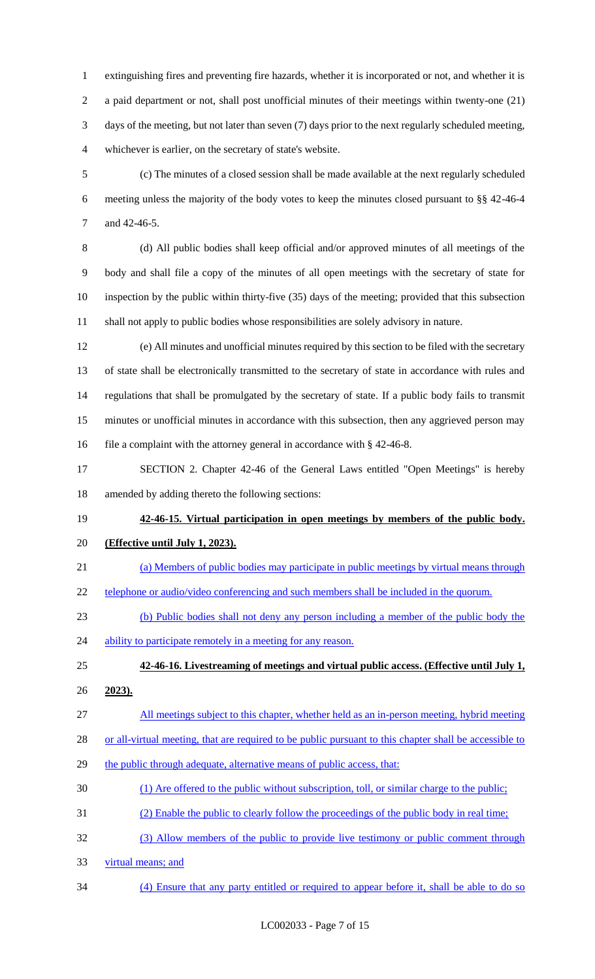extinguishing fires and preventing fire hazards, whether it is incorporated or not, and whether it is a paid department or not, shall post unofficial minutes of their meetings within twenty-one (21) days of the meeting, but not later than seven (7) days prior to the next regularly scheduled meeting, whichever is earlier, on the secretary of state's website.

 (c) The minutes of a closed session shall be made available at the next regularly scheduled meeting unless the majority of the body votes to keep the minutes closed pursuant to §§ 42-46-4 and 42-46-5.

 (d) All public bodies shall keep official and/or approved minutes of all meetings of the body and shall file a copy of the minutes of all open meetings with the secretary of state for inspection by the public within thirty-five (35) days of the meeting; provided that this subsection shall not apply to public bodies whose responsibilities are solely advisory in nature.

 (e) All minutes and unofficial minutes required by this section to be filed with the secretary of state shall be electronically transmitted to the secretary of state in accordance with rules and regulations that shall be promulgated by the secretary of state. If a public body fails to transmit minutes or unofficial minutes in accordance with this subsection, then any aggrieved person may 16 file a complaint with the attorney general in accordance with § 42-46-8.

 SECTION 2. Chapter 42-46 of the General Laws entitled "Open Meetings" is hereby amended by adding thereto the following sections:

# **42-46-15. Virtual participation in open meetings by members of the public body. (Effective until July 1, 2023).**

- (a) Members of public bodies may participate in public meetings by virtual means through
- 22 telephone or audio/video conferencing and such members shall be included in the quorum.
- (b) Public bodies shall not deny any person including a member of the public body the
- 24 ability to participate remotely in a meeting for any reason.

**42-46-16. Livestreaming of meetings and virtual public access. (Effective until July 1,** 

- **2023).**
- All meetings subject to this chapter, whether held as an in-person meeting, hybrid meeting
- 28 or all-virtual meeting, that are required to be public pursuant to this chapter shall be accessible to
- 29 the public through adequate, alternative means of public access, that:
- (1) Are offered to the public without subscription, toll, or similar charge to the public;
- (2) Enable the public to clearly follow the proceedings of the public body in real time;
- (3) Allow members of the public to provide live testimony or public comment through
- virtual means; and
- (4) Ensure that any party entitled or required to appear before it, shall be able to do so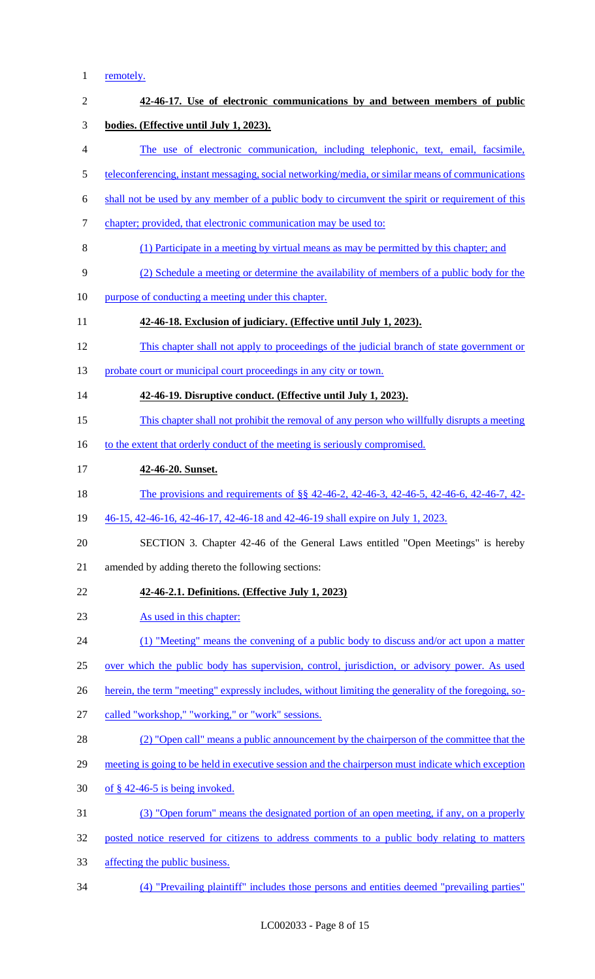# 1 <u>remotely.</u>

| $\mathbf{2}$   | 42-46-17. Use of electronic communications by and between members of public                          |
|----------------|------------------------------------------------------------------------------------------------------|
| 3              | bodies. (Effective until July 1, 2023).                                                              |
| $\overline{4}$ | The use of electronic communication, including telephonic, text, email, facsimile,                   |
| $\mathfrak{S}$ | teleconferencing, instant messaging, social networking/media, or similar means of communications     |
| 6              | shall not be used by any member of a public body to circumvent the spirit or requirement of this     |
| $\tau$         | chapter; provided, that electronic communication may be used to:                                     |
| 8              | (1) Participate in a meeting by virtual means as may be permitted by this chapter; and               |
| 9              | (2) Schedule a meeting or determine the availability of members of a public body for the             |
| 10             | purpose of conducting a meeting under this chapter.                                                  |
| 11             | 42-46-18. Exclusion of judiciary. (Effective until July 1, 2023).                                    |
| 12             | This chapter shall not apply to proceedings of the judicial branch of state government or            |
| 13             | probate court or municipal court proceedings in any city or town.                                    |
| 14             | 42-46-19. Disruptive conduct. (Effective until July 1, 2023).                                        |
| 15             | This chapter shall not prohibit the removal of any person who willfully disrupts a meeting           |
| 16             | to the extent that orderly conduct of the meeting is seriously compromised.                          |
| 17             | 42-46-20. Sunset.                                                                                    |
| 18             | The provisions and requirements of §§ 42-46-2, 42-46-3, 42-46-5, 42-46-6, 42-46-7, 42-               |
| 19             | 46-15, 42-46-16, 42-46-17, 42-46-18 and 42-46-19 shall expire on July 1, 2023.                       |
| 20             | SECTION 3. Chapter 42-46 of the General Laws entitled "Open Meetings" is hereby                      |
| 21             | amended by adding thereto the following sections:                                                    |
| 22             | 42-46-2.1. Definitions. (Effective July 1, 2023)                                                     |
| 23             | As used in this chapter:                                                                             |
| 24             | (1) "Meeting" means the convening of a public body to discuss and/or act upon a matter               |
| 25             | over which the public body has supervision, control, jurisdiction, or advisory power. As used        |
| 26             | herein, the term "meeting" expressly includes, without limiting the generality of the foregoing, so- |
| 27             | called "workshop," "working," or "work" sessions.                                                    |
| 28             | (2) "Open call" means a public announcement by the chairperson of the committee that the             |
| 29             | meeting is going to be held in executive session and the chairperson must indicate which exception   |
| 30             | of $§$ 42-46-5 is being invoked.                                                                     |
| 31             | (3) "Open forum" means the designated portion of an open meeting, if any, on a properly              |
| 32             | posted notice reserved for citizens to address comments to a public body relating to matters         |
| 33             | affecting the public business.                                                                       |
| 34             | (4) "Prevailing plaintiff" includes those persons and entities deemed "prevailing parties"           |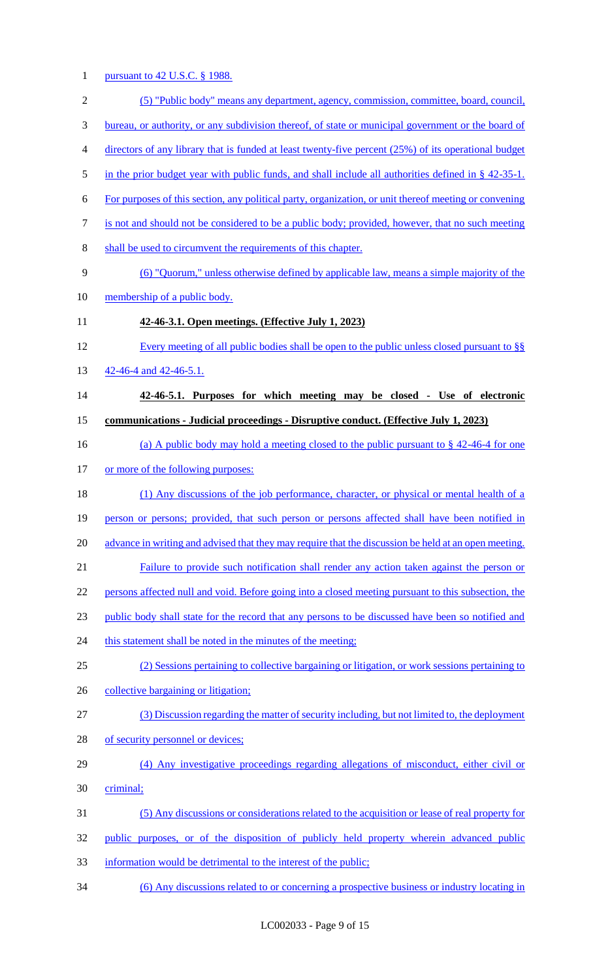# 1 pursuant to 42 U.S.C. § 1988.

| $\mathbf{2}$   | (5) "Public body" means any department, agency, commission, committee, board, council,                    |
|----------------|-----------------------------------------------------------------------------------------------------------|
| 3              | <u>bureau, or authority, or any subdivision thereof, of state or municipal government or the board of</u> |
| $\overline{4}$ | directors of any library that is funded at least twenty-five percent (25%) of its operational budget      |
| 5              | in the prior budget year with public funds, and shall include all authorities defined in $\S$ 42-35-1.    |
| 6              | For purposes of this section, any political party, organization, or unit thereof meeting or convening     |
| $\tau$         | is not and should not be considered to be a public body; provided, however, that no such meeting          |
| 8              | shall be used to circumvent the requirements of this chapter.                                             |
| 9              | (6) "Quorum," unless otherwise defined by applicable law, means a simple majority of the                  |
| 10             | membership of a public body.                                                                              |
| 11             | 42-46-3.1. Open meetings. (Effective July 1, 2023)                                                        |
| 12             | Every meeting of all public bodies shall be open to the public unless closed pursuant to §§               |
| 13             | 42-46-4 and 42-46-5.1.                                                                                    |
| 14             | 42-46-5.1. Purposes for which meeting may be closed - Use of electronic                                   |
| 15             | <u>communications - Judicial proceedings - Disruptive conduct. (Effective July 1, 2023)</u>               |
| 16             | (a) A public body may hold a meeting closed to the public pursuant to $\S$ 42-46-4 for one                |
| 17             | or more of the following purposes:                                                                        |
| 18             | (1) Any discussions of the job performance, character, or physical or mental health of a                  |
| 19             | person or persons; provided, that such person or persons affected shall have been notified in             |
| 20             | advance in writing and advised that they may require that the discussion be held at an open meeting.      |
| 21             | Failure to provide such notification shall render any action taken against the person or                  |
| 22             | persons affected null and void. Before going into a closed meeting pursuant to this subsection, the       |
| 23             | public body shall state for the record that any persons to be discussed have been so notified and         |
| 24             | this statement shall be noted in the minutes of the meeting;                                              |
| 25             | (2) Sessions pertaining to collective bargaining or litigation, or work sessions pertaining to            |
| 26             | collective bargaining or litigation;                                                                      |
| 27             | (3) Discussion regarding the matter of security including, but not limited to, the deployment             |
| 28             | of security personnel or devices;                                                                         |
| 29             | (4) Any investigative proceedings regarding allegations of misconduct, either civil or                    |
| 30             | criminal;                                                                                                 |
| 31             | (5) Any discussions or considerations related to the acquisition or lease of real property for            |
| 32             | public purposes, or of the disposition of publicly held property wherein advanced public                  |
| 33             | information would be detrimental to the interest of the public;                                           |

34 (6) Any discussions related to or concerning a prospective business or industry locating in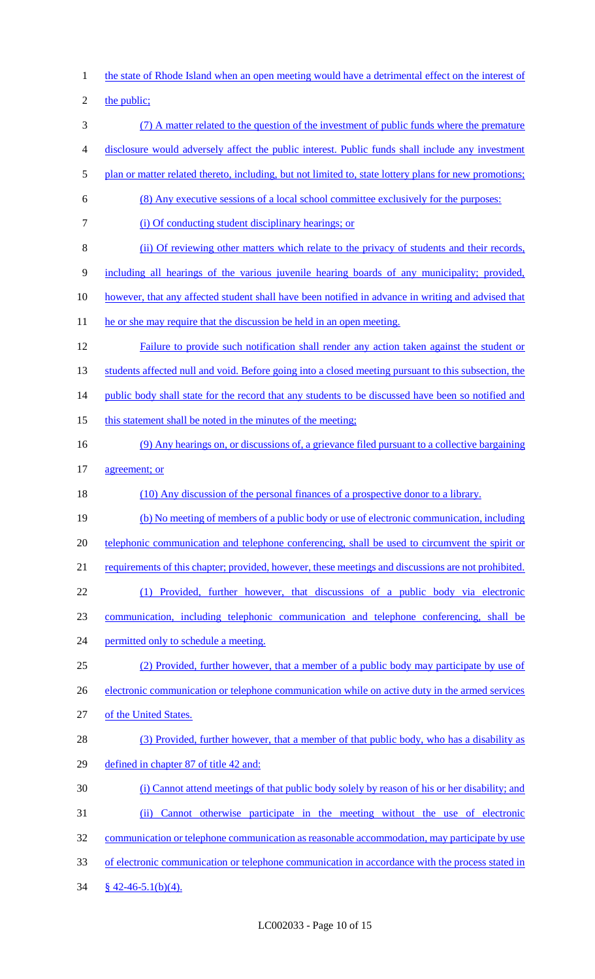1 the state of Rhode Island when an open meeting would have a detrimental effect on the interest of 2 the public; 3 (7) A matter related to the question of the investment of public funds where the premature 4 disclosure would adversely affect the public interest. Public funds shall include any investment 5 plan or matter related thereto, including, but not limited to, state lottery plans for new promotions; 6 (8) Any executive sessions of a local school committee exclusively for the purposes: 7 (i) Of conducting student disciplinary hearings; or 8 (ii) Of reviewing other matters which relate to the privacy of students and their records, 9 including all hearings of the various juvenile hearing boards of any municipality; provided, 10 however, that any affected student shall have been notified in advance in writing and advised that 11 he or she may require that the discussion be held in an open meeting. 12 Failure to provide such notification shall render any action taken against the student or 13 students affected null and void. Before going into a closed meeting pursuant to this subsection, the 14 public body shall state for the record that any students to be discussed have been so notified and 15 this statement shall be noted in the minutes of the meeting; 16 (9) Any hearings on, or discussions of, a grievance filed pursuant to a collective bargaining 17 agreement; or 18 (10) Any discussion of the personal finances of a prospective donor to a library. 19 (b) No meeting of members of a public body or use of electronic communication, including 20 telephonic communication and telephone conferencing, shall be used to circumvent the spirit or 21 requirements of this chapter; provided, however, these meetings and discussions are not prohibited. 22 (1) Provided, further however, that discussions of a public body via electronic 23 communication, including telephonic communication and telephone conferencing, shall be 24 permitted only to schedule a meeting. 25 (2) Provided, further however, that a member of a public body may participate by use of 26 electronic communication or telephone communication while on active duty in the armed services 27 of the United States. 28 (3) Provided, further however, that a member of that public body, who has a disability as 29 defined in chapter 87 of title 42 and: 30 (i) Cannot attend meetings of that public body solely by reason of his or her disability; and 31 (ii) Cannot otherwise participate in the meeting without the use of electronic 32 communication or telephone communication as reasonable accommodation, may participate by use 33 of electronic communication or telephone communication in accordance with the process stated in  $34 \frac{\$42-46-5.1(b)(4).}{}$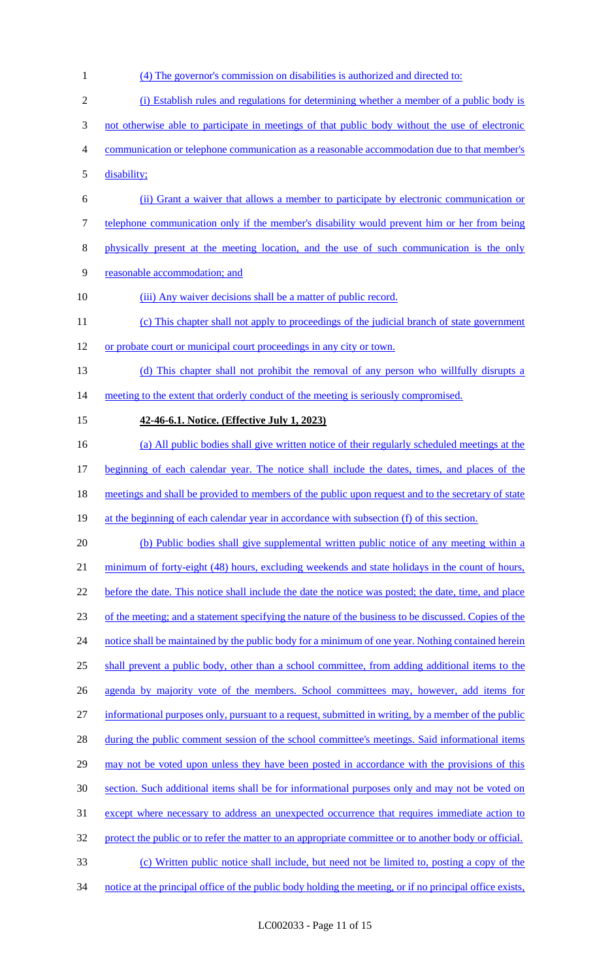(4) The governor's commission on disabilities is authorized and directed to: (i) Establish rules and regulations for determining whether a member of a public body is not otherwise able to participate in meetings of that public body without the use of electronic communication or telephone communication as a reasonable accommodation due to that member's disability; (ii) Grant a waiver that allows a member to participate by electronic communication or telephone communication only if the member's disability would prevent him or her from being physically present at the meeting location, and the use of such communication is the only reasonable accommodation; and 10 (iii) Any waiver decisions shall be a matter of public record. (c) This chapter shall not apply to proceedings of the judicial branch of state government or probate court or municipal court proceedings in any city or town. (d) This chapter shall not prohibit the removal of any person who willfully disrupts a 14 meeting to the extent that orderly conduct of the meeting is seriously compromised. **42-46-6.1. Notice. (Effective July 1, 2023)**  (a) All public bodies shall give written notice of their regularly scheduled meetings at the beginning of each calendar year. The notice shall include the dates, times, and places of the 18 meetings and shall be provided to members of the public upon request and to the secretary of state 19 at the beginning of each calendar year in accordance with subsection (f) of this section. 20 (b) Public bodies shall give supplemental written public notice of any meeting within a 21 minimum of forty-eight (48) hours, excluding weekends and state holidays in the count of hours, before the date. This notice shall include the date the notice was posted; the date, time, and place of the meeting; and a statement specifying the nature of the business to be discussed. Copies of the 24 notice shall be maintained by the public body for a minimum of one year. Nothing contained herein shall prevent a public body, other than a school committee, from adding additional items to the agenda by majority vote of the members. School committees may, however, add items for informational purposes only, pursuant to a request, submitted in writing, by a member of the public 28 during the public comment session of the school committee's meetings. Said informational items 29 may not be voted upon unless they have been posted in accordance with the provisions of this section. Such additional items shall be for informational purposes only and may not be voted on except where necessary to address an unexpected occurrence that requires immediate action to 32 protect the public or to refer the matter to an appropriate committee or to another body or official. (c) Written public notice shall include, but need not be limited to, posting a copy of the 34 notice at the principal office of the public body holding the meeting, or if no principal office exists,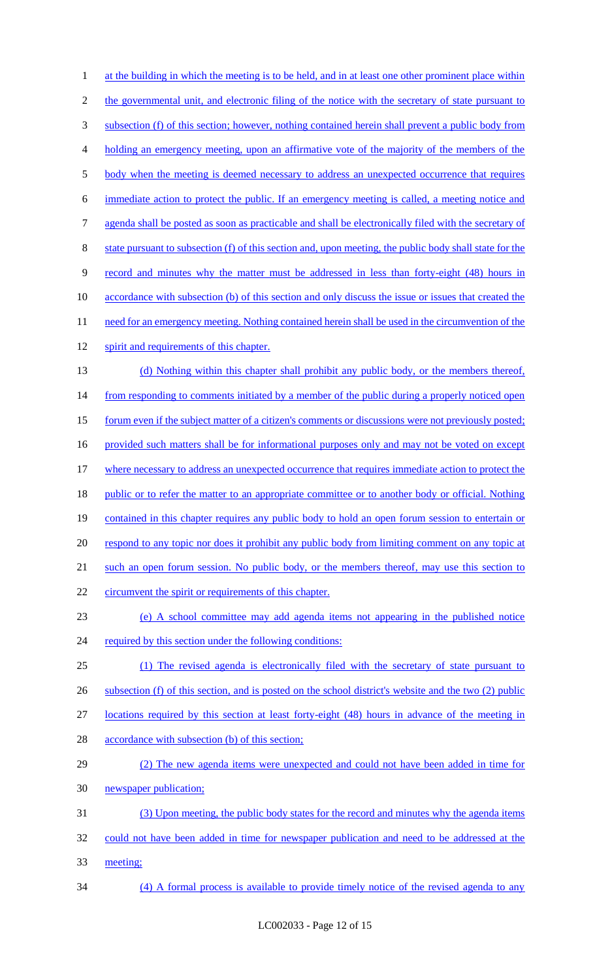1 at the building in which the meeting is to be held, and in at least one other prominent place within 2 the governmental unit, and electronic filing of the notice with the secretary of state pursuant to 3 subsection (f) of this section; however, nothing contained herein shall prevent a public body from 4 holding an emergency meeting, upon an affirmative vote of the majority of the members of the 5 body when the meeting is deemed necessary to address an unexpected occurrence that requires 6 immediate action to protect the public. If an emergency meeting is called, a meeting notice and 7 agenda shall be posted as soon as practicable and shall be electronically filed with the secretary of 8 state pursuant to subsection (f) of this section and, upon meeting, the public body shall state for the 9 record and minutes why the matter must be addressed in less than forty-eight (48) hours in 10 accordance with subsection (b) of this section and only discuss the issue or issues that created the 11 need for an emergency meeting. Nothing contained herein shall be used in the circumvention of the 12 spirit and requirements of this chapter. 13 (d) Nothing within this chapter shall prohibit any public body, or the members thereof, 14 from responding to comments initiated by a member of the public during a properly noticed open 15 forum even if the subject matter of a citizen's comments or discussions were not previously posted; 16 provided such matters shall be for informational purposes only and may not be voted on except 17 where necessary to address an unexpected occurrence that requires immediate action to protect the 18 public or to refer the matter to an appropriate committee or to another body or official. Nothing 19 contained in this chapter requires any public body to hold an open forum session to entertain or 20 respond to any topic nor does it prohibit any public body from limiting comment on any topic at 21 such an open forum session. No public body, or the members thereof, may use this section to 22 circumvent the spirit or requirements of this chapter. 23 (e) A school committee may add agenda items not appearing in the published notice 24 required by this section under the following conditions: 25 (1) The revised agenda is electronically filed with the secretary of state pursuant to 26 subsection (f) of this section, and is posted on the school district's website and the two (2) public 27 locations required by this section at least forty-eight (48) hours in advance of the meeting in 28 accordance with subsection (b) of this section; 29 (2) The new agenda items were unexpected and could not have been added in time for 30 newspaper publication; 31 (3) Upon meeting, the public body states for the record and minutes why the agenda items 32 could not have been added in time for newspaper publication and need to be addressed at the 33 meeting; 34 (4) A formal process is available to provide timely notice of the revised agenda to any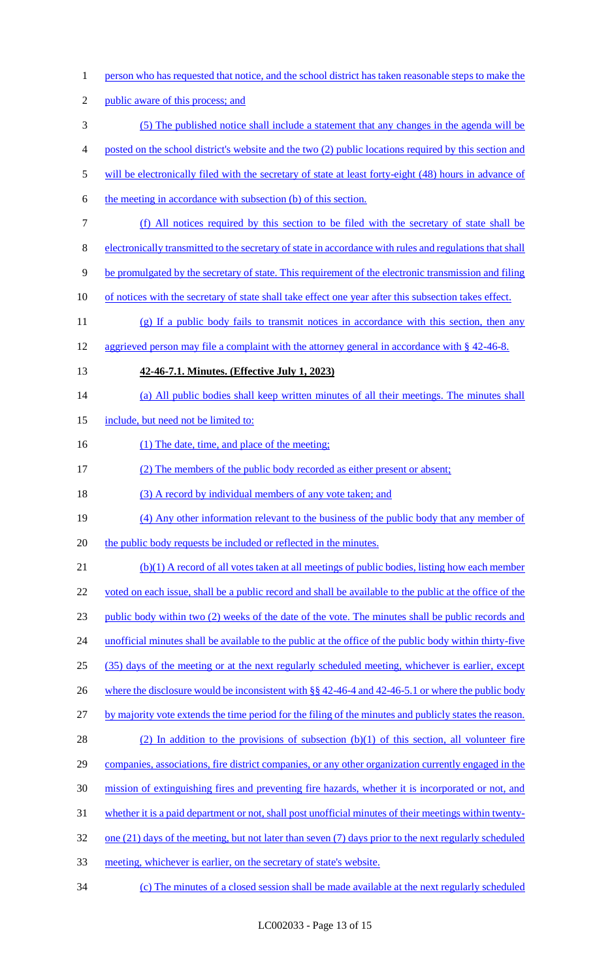| $\mathbf{1}$   | person who has requested that notice, and the school district has taken reasonable steps to make the     |
|----------------|----------------------------------------------------------------------------------------------------------|
| $\overline{2}$ | public aware of this process; and                                                                        |
| $\mathfrak{Z}$ | (5) The published notice shall include a statement that any changes in the agenda will be                |
| $\overline{4}$ | posted on the school district's website and the two (2) public locations required by this section and    |
| 5              | will be electronically filed with the secretary of state at least forty-eight (48) hours in advance of   |
| 6              | the meeting in accordance with subsection (b) of this section.                                           |
| $\tau$         | (f) All notices required by this section to be filed with the secretary of state shall be                |
| $8\,$          | electronically transmitted to the secretary of state in accordance with rules and regulations that shall |
| 9              | be promulgated by the secretary of state. This requirement of the electronic transmission and filing     |
| 10             | of notices with the secretary of state shall take effect one year after this subsection takes effect.    |
| 11             | (g) If a public body fails to transmit notices in accordance with this section, then any                 |
| 12             | aggrieved person may file a complaint with the attorney general in accordance with $\S$ 42-46-8.         |
| 13             | 42-46-7.1. Minutes. (Effective July 1, 2023)                                                             |
| 14             | (a) All public bodies shall keep written minutes of all their meetings. The minutes shall                |
| 15             | include, but need not be limited to:                                                                     |
| 16             | (1) The date, time, and place of the meeting;                                                            |
| 17             | (2) The members of the public body recorded as either present or absent;                                 |
| 18             | (3) A record by individual members of any vote taken; and                                                |
| 19             | (4) Any other information relevant to the business of the public body that any member of                 |
| 20             | the public body requests be included or reflected in the minutes.                                        |
| 21             | (b)(1) A record of all votes taken at all meetings of public bodies, listing how each member             |
| 22             | voted on each issue, shall be a public record and shall be available to the public at the office of the  |
| 23             | public body within two (2) weeks of the date of the vote. The minutes shall be public records and        |
| 24             | unofficial minutes shall be available to the public at the office of the public body within thirty-five  |
| 25             | (35) days of the meeting or at the next regularly scheduled meeting, whichever is earlier, except        |
| 26             | where the disclosure would be inconsistent with $\S$ 42-46-4 and 42-46-5.1 or where the public body      |
| 27             | by majority vote extends the time period for the filing of the minutes and publicly states the reason.   |
| 28             |                                                                                                          |
|                | (2) In addition to the provisions of subsection (b)(1) of this section, all volunteer fire               |
| 29             | companies, associations, fire district companies, or any other organization currently engaged in the     |
| 30             | mission of extinguishing fires and preventing fire hazards, whether it is incorporated or not, and       |
| 31             | whether it is a paid department or not, shall post unofficial minutes of their meetings within twenty-   |
| 32             | one (21) days of the meeting, but not later than seven (7) days prior to the next regularly scheduled    |
| 33             | meeting, whichever is earlier, on the secretary of state's website.                                      |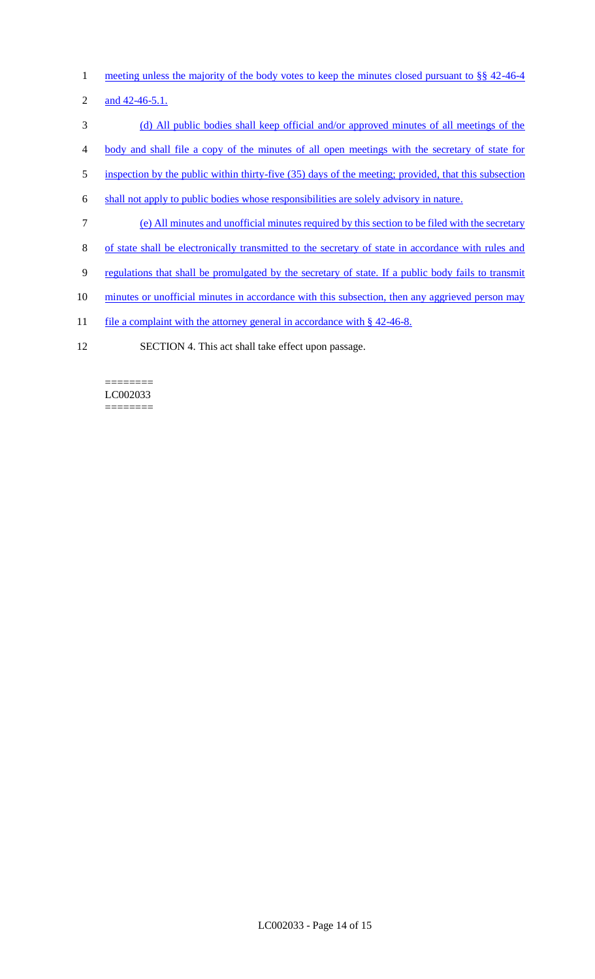- 1 meeting unless the majority of the body votes to keep the minutes closed pursuant to §§ 42-46-4
- 2 and 42-46-5.1.
- 3 (d) All public bodies shall keep official and/or approved minutes of all meetings of the
- 4 body and shall file a copy of the minutes of all open meetings with the secretary of state for
- 5 inspection by the public within thirty-five (35) days of the meeting; provided, that this subsection
- 6 shall not apply to public bodies whose responsibilities are solely advisory in nature.
- 7 (e) All minutes and unofficial minutes required by this section to be filed with the secretary
- 8 of state shall be electronically transmitted to the secretary of state in accordance with rules and
- 9 regulations that shall be promulgated by the secretary of state. If a public body fails to transmit
- 10 minutes or unofficial minutes in accordance with this subsection, then any aggrieved person may
- 11 file a complaint with the attorney general in accordance with § 42-46-8.
- 12 SECTION 4. This act shall take effect upon passage.

======== LC002033 ========